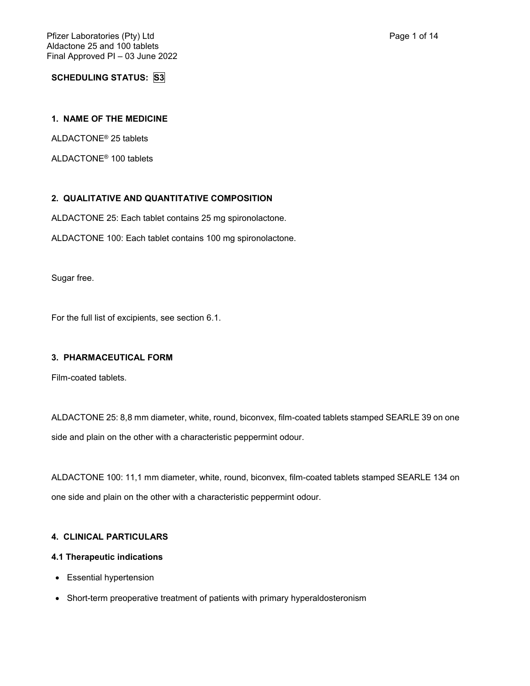**SCHEDULING STATUS: S3**

# **1. NAME OF THE MEDICINE**

ALDACTONE® 25 tablets

ALDACTONE® 100 tablets

# **2. QUALITATIVE AND QUANTITATIVE COMPOSITION**

ALDACTONE 25: Each tablet contains 25 mg spironolactone.

ALDACTONE 100: Each tablet contains 100 mg spironolactone.

Sugar free.

For the full list of excipients, see section 6.1.

# **3. PHARMACEUTICAL FORM**

Film-coated tablets.

ALDACTONE 25: 8,8 mm diameter, white, round, biconvex, film-coated tablets stamped SEARLE 39 on one side and plain on the other with a characteristic peppermint odour.

ALDACTONE 100: 11,1 mm diameter, white, round, biconvex, film-coated tablets stamped SEARLE 134 on one side and plain on the other with a characteristic peppermint odour.

### **4. CLINICAL PARTICULARS**

# **4.1 Therapeutic indications**

- Essential hypertension
- Short-term preoperative treatment of patients with primary hyperaldosteronism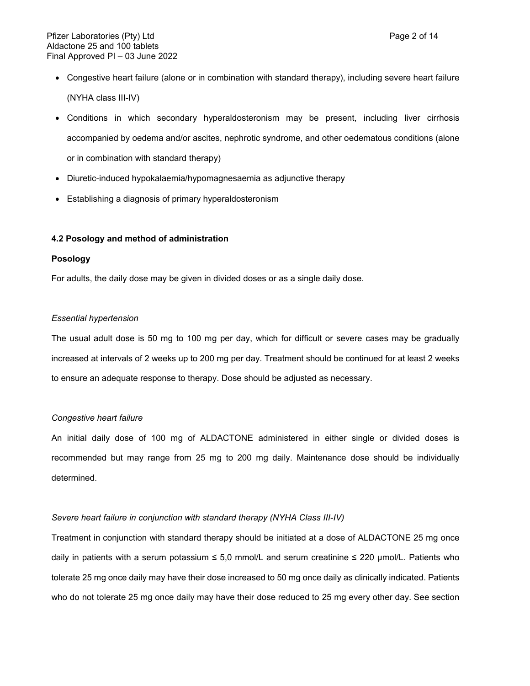- Congestive heart failure (alone or in combination with standard therapy), including severe heart failure (NYHA class III-IV)
- Conditions in which secondary hyperaldosteronism may be present, including liver cirrhosis accompanied by oedema and/or ascites, nephrotic syndrome, and other oedematous conditions (alone or in combination with standard therapy)
- Diuretic-induced hypokalaemia/hypomagnesaemia as adjunctive therapy
- Establishing a diagnosis of primary hyperaldosteronism

#### **4.2 Posology and method of administration**

#### **Posology**

For adults, the daily dose may be given in divided doses or as a single daily dose.

#### *Essential hypertension*

The usual adult dose is 50 mg to 100 mg per day, which for difficult or severe cases may be gradually increased at intervals of 2 weeks up to 200 mg per day. Treatment should be continued for at least 2 weeks to ensure an adequate response to therapy. Dose should be adjusted as necessary.

#### *Congestive heart failure*

An initial daily dose of 100 mg of ALDACTONE administered in either single or divided doses is recommended but may range from 25 mg to 200 mg daily. Maintenance dose should be individually determined.

#### *Severe heart failure in conjunction with standard therapy (NYHA Class III-IV)*

Treatment in conjunction with standard therapy should be initiated at a dose of ALDACTONE 25 mg once daily in patients with a serum potassium  $\leq 5.0$  mmol/L and serum creatinine  $\leq 220$  µmol/L. Patients who tolerate 25 mg once daily may have their dose increased to 50 mg once daily as clinically indicated. Patients who do not tolerate 25 mg once daily may have their dose reduced to 25 mg every other day. See section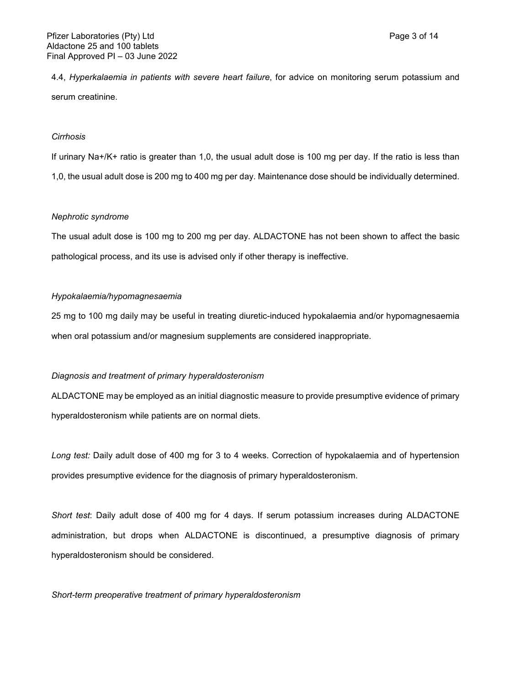4.4, *Hyperkalaemia in patients with severe heart failure*, for advice on monitoring serum potassium and serum creatinine.

#### *Cirrhosis*

If urinary Na+/K+ ratio is greater than 1,0, the usual adult dose is 100 mg per day. If the ratio is less than 1,0, the usual adult dose is 200 mg to 400 mg per day. Maintenance dose should be individually determined.

#### *Nephrotic syndrome*

The usual adult dose is 100 mg to 200 mg per day. ALDACTONE has not been shown to affect the basic pathological process, and its use is advised only if other therapy is ineffective.

#### *Hypokalaemia/hypomagnesaemia*

25 mg to 100 mg daily may be useful in treating diuretic-induced hypokalaemia and/or hypomagnesaemia when oral potassium and/or magnesium supplements are considered inappropriate.

### *Diagnosis and treatment of primary hyperaldosteronism*

ALDACTONE may be employed as an initial diagnostic measure to provide presumptive evidence of primary hyperaldosteronism while patients are on normal diets.

*Long test:* Daily adult dose of 400 mg for 3 to 4 weeks. Correction of hypokalaemia and of hypertension provides presumptive evidence for the diagnosis of primary hyperaldosteronism.

*Short test*: Daily adult dose of 400 mg for 4 days. If serum potassium increases during ALDACTONE administration, but drops when ALDACTONE is discontinued, a presumptive diagnosis of primary hyperaldosteronism should be considered.

### *Short-term preoperative treatment of primary hyperaldosteronism*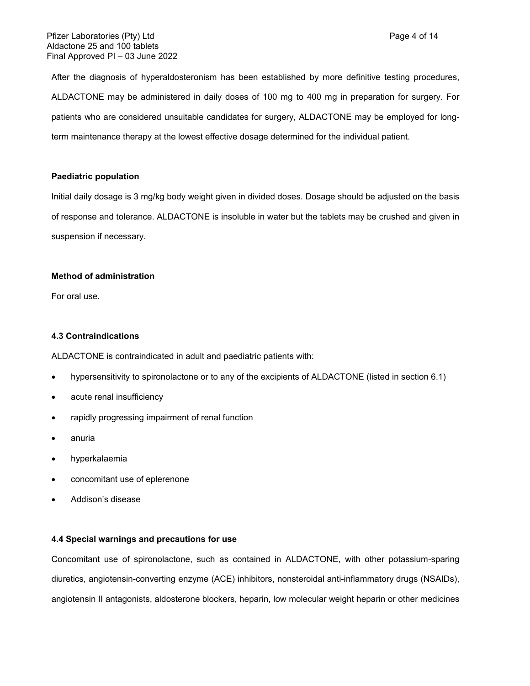After the diagnosis of hyperaldosteronism has been established by more definitive testing procedures, ALDACTONE may be administered in daily doses of 100 mg to 400 mg in preparation for surgery. For patients who are considered unsuitable candidates for surgery, ALDACTONE may be employed for longterm maintenance therapy at the lowest effective dosage determined for the individual patient.

# **Paediatric population**

Initial daily dosage is 3 mg/kg body weight given in divided doses. Dosage should be adjusted on the basis of response and tolerance. ALDACTONE is insoluble in water but the tablets may be crushed and given in suspension if necessary.

## **Method of administration**

For oral use.

## **4.3 Contraindications**

ALDACTONE is contraindicated in adult and paediatric patients with:

- hypersensitivity to spironolactone or to any of the excipients of ALDACTONE (listed in section 6.1)
- acute renal insufficiency
- rapidly progressing impairment of renal function
- anuria
- hyperkalaemia
- concomitant use of eplerenone
- Addison's disease

### **4.4 Special warnings and precautions for use**

Concomitant use of spironolactone, such as contained in ALDACTONE, with other potassium-sparing diuretics, angiotensin-converting enzyme (ACE) inhibitors, nonsteroidal anti-inflammatory drugs (NSAIDs), angiotensin II antagonists, aldosterone blockers, heparin, low molecular weight heparin or other medicines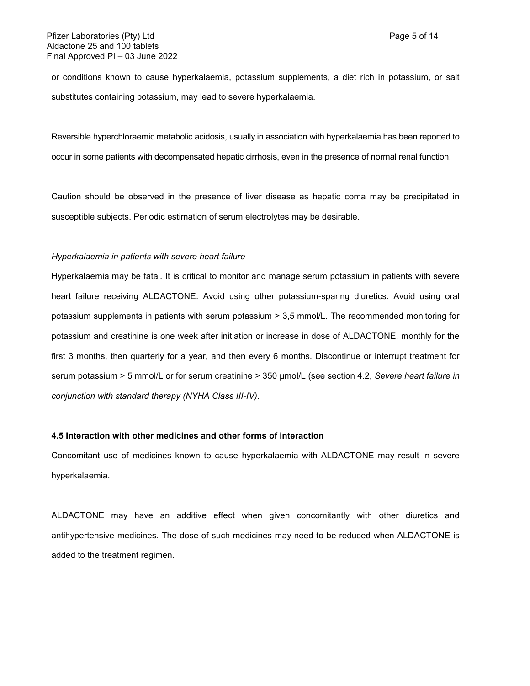or conditions known to cause hyperkalaemia, potassium supplements, a diet rich in potassium, or salt substitutes containing potassium, may lead to severe hyperkalaemia.

Reversible hyperchloraemic metabolic acidosis, usually in association with hyperkalaemia has been reported to occur in some patients with decompensated hepatic cirrhosis, even in the presence of normal renal function.

Caution should be observed in the presence of liver disease as hepatic coma may be precipitated in susceptible subjects. Periodic estimation of serum electrolytes may be desirable.

#### *Hyperkalaemia in patients with severe heart failure*

Hyperkalaemia may be fatal. It is critical to monitor and manage serum potassium in patients with severe heart failure receiving ALDACTONE. Avoid using other potassium-sparing diuretics. Avoid using oral potassium supplements in patients with serum potassium > 3,5 mmol/L. The recommended monitoring for potassium and creatinine is one week after initiation or increase in dose of ALDACTONE, monthly for the first 3 months, then quarterly for a year, and then every 6 months. Discontinue or interrupt treatment for serum potassium > 5 mmol/L or for serum creatinine > 350 µmol/L (see section 4.2, *Severe heart failure in conjunction with standard therapy (NYHA Class III-IV)*.

### **4.5 Interaction with other medicines and other forms of interaction**

Concomitant use of medicines known to cause hyperkalaemia with ALDACTONE may result in severe hyperkalaemia.

ALDACTONE may have an additive effect when given concomitantly with other diuretics and antihypertensive medicines. The dose of such medicines may need to be reduced when ALDACTONE is added to the treatment regimen.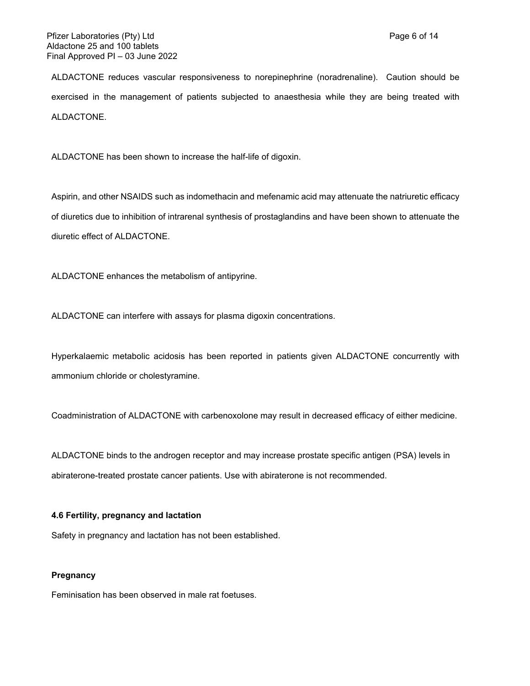ALDACTONE reduces vascular responsiveness to norepinephrine (noradrenaline). Caution should be exercised in the management of patients subjected to anaesthesia while they are being treated with ALDACTONE.

ALDACTONE has been shown to increase the half-life of digoxin.

Aspirin, and other NSAIDS such as indomethacin and mefenamic acid may attenuate the natriuretic efficacy of diuretics due to inhibition of intrarenal synthesis of prostaglandins and have been shown to attenuate the diuretic effect of ALDACTONE.

ALDACTONE enhances the metabolism of antipyrine.

ALDACTONE can interfere with assays for plasma digoxin concentrations.

Hyperkalaemic metabolic acidosis has been reported in patients given ALDACTONE concurrently with ammonium chloride or cholestyramine.

Coadministration of ALDACTONE with carbenoxolone may result in decreased efficacy of either medicine.

ALDACTONE binds to the androgen receptor and may increase prostate specific antigen (PSA) levels in abiraterone-treated prostate cancer patients. Use with abiraterone is not recommended.

#### **4.6 Fertility, pregnancy and lactation**

Safety in pregnancy and lactation has not been established.

## **Pregnancy**

Feminisation has been observed in male rat foetuses.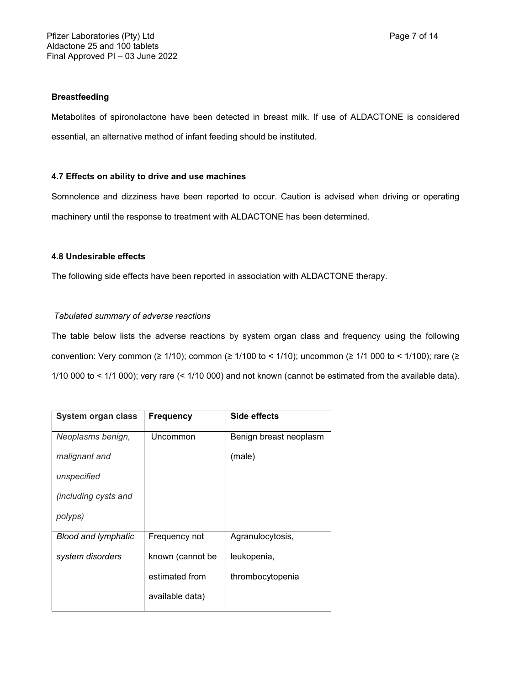## **Breastfeeding**

Metabolites of spironolactone have been detected in breast milk. If use of ALDACTONE is considered essential, an alternative method of infant feeding should be instituted.

## **4.7 Effects on ability to drive and use machines**

Somnolence and dizziness have been reported to occur. Caution is advised when driving or operating machinery until the response to treatment with ALDACTONE has been determined.

## **4.8 Undesirable effects**

The following side effects have been reported in association with ALDACTONE therapy.

## *Tabulated summary of adverse reactions*

The table below lists the adverse reactions by system organ class and frequency using the following convention: Very common (≥ 1/10); common (≥ 1/100 to < 1/10); uncommon (≥ 1/1 000 to < 1/100); rare (≥ 1/10 000 to < 1/1 000); very rare (< 1/10 000) and not known (cannot be estimated from the available data).

| System organ class         | <b>Frequency</b> | Side effects           |
|----------------------------|------------------|------------------------|
| Neoplasms benign,          | Uncommon         | Benign breast neoplasm |
| malignant and              |                  | (male)                 |
| unspecified                |                  |                        |
| (including cysts and       |                  |                        |
| polyps)                    |                  |                        |
| <b>Blood and lymphatic</b> | Frequency not    | Agranulocytosis,       |
| system disorders           | known (cannot be | leukopenia,            |
|                            | estimated from   | thrombocytopenia       |
|                            | available data)  |                        |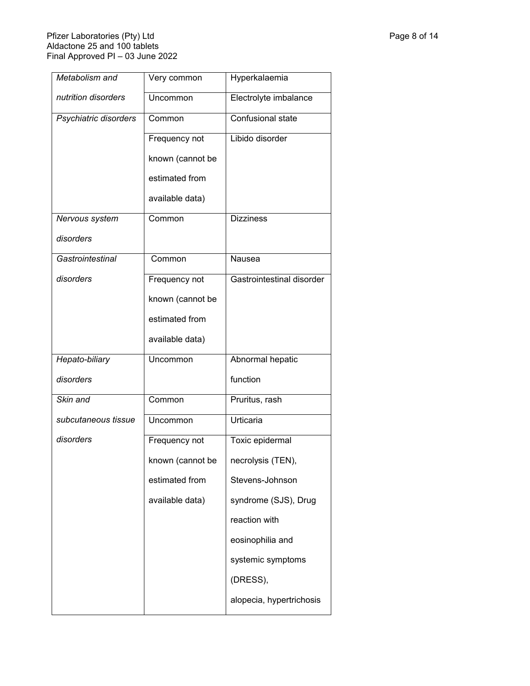### Pfizer Laboratories (Pty) Ltd Page 8 of 14 Aldactone 25 and 100 tablets Final Approved PI – 03 June 2022

| Metabolism and        | Very common      | Hyperkalaemia             |  |
|-----------------------|------------------|---------------------------|--|
| nutrition disorders   | Uncommon         | Electrolyte imbalance     |  |
| Psychiatric disorders | Common           | Confusional state         |  |
|                       | Frequency not    | Libido disorder           |  |
|                       | known (cannot be |                           |  |
|                       | estimated from   |                           |  |
|                       | available data)  |                           |  |
| Nervous system        | Common           | <b>Dizziness</b>          |  |
| disorders             |                  |                           |  |
| Gastrointestinal      | Common           | Nausea                    |  |
| disorders             | Frequency not    | Gastrointestinal disorder |  |
|                       | known (cannot be |                           |  |
|                       | estimated from   |                           |  |
|                       | available data)  |                           |  |
| Hepato-biliary        | Uncommon         | Abnormal hepatic          |  |
| disorders             |                  | function                  |  |
| Skin and              | Common           | Pruritus, rash            |  |
| subcutaneous tissue   | Uncommon         | Urticaria                 |  |
| disorders             | Frequency not    | Toxic epidermal           |  |
|                       | known (cannot be | necrolysis (TEN),         |  |
|                       | estimated from   | Stevens-Johnson           |  |
|                       | available data)  | syndrome (SJS), Drug      |  |
|                       |                  | reaction with             |  |
|                       |                  | eosinophilia and          |  |
|                       |                  | systemic symptoms         |  |
|                       |                  | (DRESS),                  |  |
|                       |                  | alopecia, hypertrichosis  |  |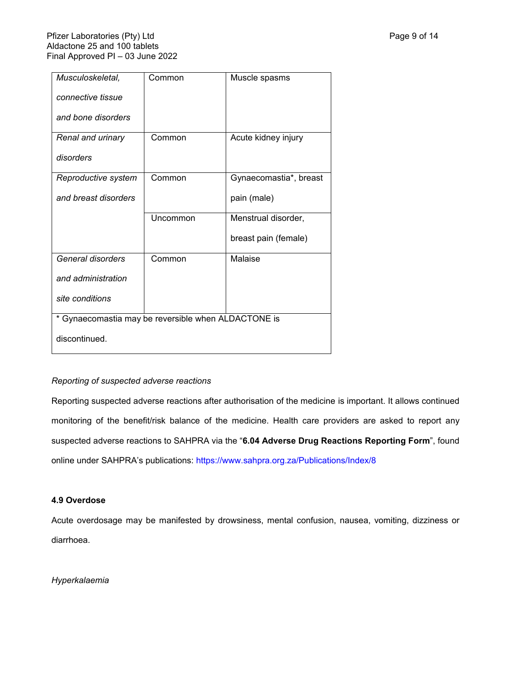| Musculoskeletal,                                    | Common   | Muscle spasms          |  |
|-----------------------------------------------------|----------|------------------------|--|
| connective tissue                                   |          |                        |  |
| and bone disorders                                  |          |                        |  |
| Renal and urinary                                   | Common   | Acute kidney injury    |  |
| disorders                                           |          |                        |  |
| Reproductive system                                 | Common   | Gynaecomastia*, breast |  |
| and breast disorders                                |          | pain (male)            |  |
|                                                     | Uncommon | Menstrual disorder,    |  |
|                                                     |          | breast pain (female)   |  |
| General disorders                                   | Common   | Malaise                |  |
| and administration                                  |          |                        |  |
| site conditions                                     |          |                        |  |
| * Gynaecomastia may be reversible when ALDACTONE is |          |                        |  |
| discontinued.                                       |          |                        |  |

# *Reporting of suspected adverse reactions*

Reporting suspected adverse reactions after authorisation of the medicine is important. It allows continued monitoring of the benefit/risk balance of the medicine. Health care providers are asked to report any suspected adverse reactions to SAHPRA via the "**6.04 Adverse Drug Reactions Reporting Form**", found online under SAHPRA's publications: <https://www.sahpra.org.za/Publications/Index/8>

### **4.9 Overdose**

Acute overdosage may be manifested by drowsiness, mental confusion, nausea, vomiting, dizziness or diarrhoea.

*Hyperkalaemia*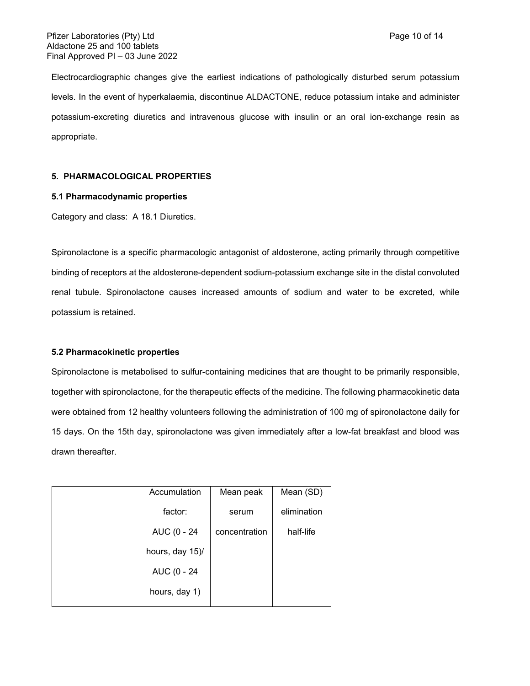Electrocardiographic changes give the earliest indications of pathologically disturbed serum potassium levels. In the event of hyperkalaemia, discontinue ALDACTONE, reduce potassium intake and administer potassium-excreting diuretics and intravenous glucose with insulin or an oral ion-exchange resin as appropriate.

## **5. PHARMACOLOGICAL PROPERTIES**

#### **5.1 Pharmacodynamic properties**

Category and class: A 18.1 Diuretics.

Spironolactone is a specific pharmacologic antagonist of aldosterone, acting primarily through competitive binding of receptors at the aldosterone-dependent sodium-potassium exchange site in the distal convoluted renal tubule. Spironolactone causes increased amounts of sodium and water to be excreted, while potassium is retained.

### **5.2 Pharmacokinetic properties**

Spironolactone is metabolised to sulfur-containing medicines that are thought to be primarily responsible, together with spironolactone, for the therapeutic effects of the medicine. The following pharmacokinetic data were obtained from 12 healthy volunteers following the administration of 100 mg of spironolactone daily for 15 days. On the 15th day, spironolactone was given immediately after a low-fat breakfast and blood was drawn thereafter.

| Accumulation    | Mean peak     | Mean (SD)   |
|-----------------|---------------|-------------|
| factor:         | serum         | elimination |
| AUC (0 - 24     | concentration | half-life   |
| hours, day 15)/ |               |             |
| AUC (0 - 24     |               |             |
| hours, day 1)   |               |             |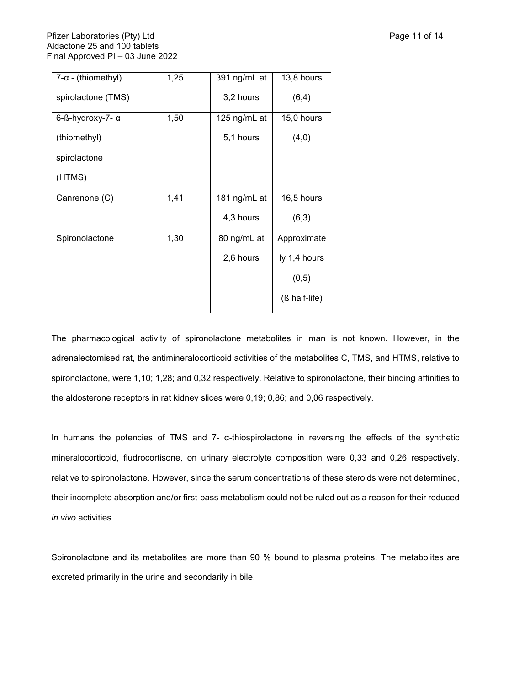| $7 - \alpha$ - (thiomethyl) | 1,25 | 391 ng/mL at | 13,8 hours    |
|-----------------------------|------|--------------|---------------|
| spirolactone (TMS)          |      | 3,2 hours    | (6,4)         |
| 6-ß-hydroxy-7- α            | 1,50 | 125 ng/mL at | 15,0 hours    |
| (thiomethyl)                |      | 5,1 hours    | (4,0)         |
| spirolactone                |      |              |               |
| (HTMS)                      |      |              |               |
| Canrenone (C)               | 1,41 | 181 ng/mL at | 16,5 hours    |
|                             |      | 4,3 hours    | (6,3)         |
| Spironolactone              | 1,30 | 80 ng/mL at  | Approximate   |
|                             |      | 2,6 hours    | ly 1,4 hours  |
|                             |      |              | (0,5)         |
|                             |      |              | (ß half-life) |
|                             |      |              |               |

The pharmacological activity of spironolactone metabolites in man is not known. However, in the adrenalectomised rat, the antimineralocorticoid activities of the metabolites C, TMS, and HTMS, relative to spironolactone, were 1,10; 1,28; and 0,32 respectively. Relative to spironolactone, their binding affinities to the aldosterone receptors in rat kidney slices were 0,19; 0,86; and 0,06 respectively.

In humans the potencies of TMS and 7- α-thiospirolactone in reversing the effects of the synthetic mineralocorticoid, fludrocortisone, on urinary electrolyte composition were 0,33 and 0,26 respectively, relative to spironolactone. However, since the serum concentrations of these steroids were not determined, their incomplete absorption and/or first-pass metabolism could not be ruled out as a reason for their reduced *in vivo* activities.

Spironolactone and its metabolites are more than 90 % bound to plasma proteins. The metabolites are excreted primarily in the urine and secondarily in bile.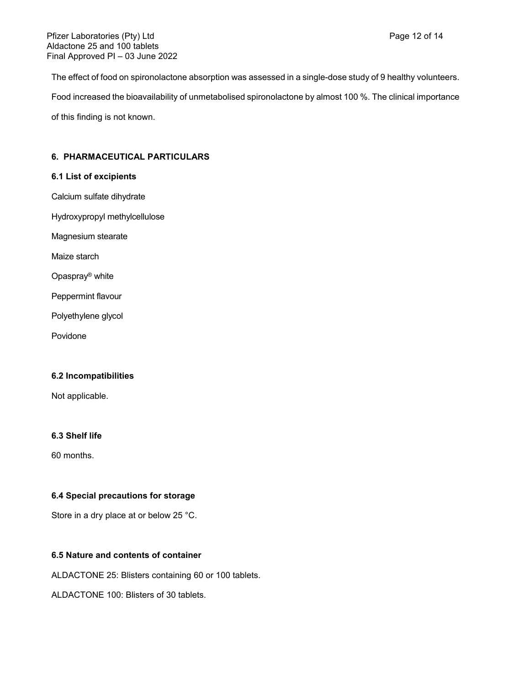The effect of food on spironolactone absorption was assessed in a single-dose study of 9 healthy volunteers. Food increased the bioavailability of unmetabolised spironolactone by almost 100 %. The clinical importance of this finding is not known.

# **6. PHARMACEUTICAL PARTICULARS**

# **6.1 List of excipients**

Calcium sulfate dihydrate

Hydroxypropyl methylcellulose

Magnesium stearate

Maize starch

Opaspray® white

Peppermint flavour

Polyethylene glycol

Povidone

### **6.2 Incompatibilities**

Not applicable.

### **6.3 Shelf life**

60 months.

## **6.4 Special precautions for storage**

Store in a dry place at or below 25 °C.

# **6.5 Nature and contents of container**

ALDACTONE 25: Blisters containing 60 or 100 tablets.

ALDACTONE 100: Blisters of 30 tablets.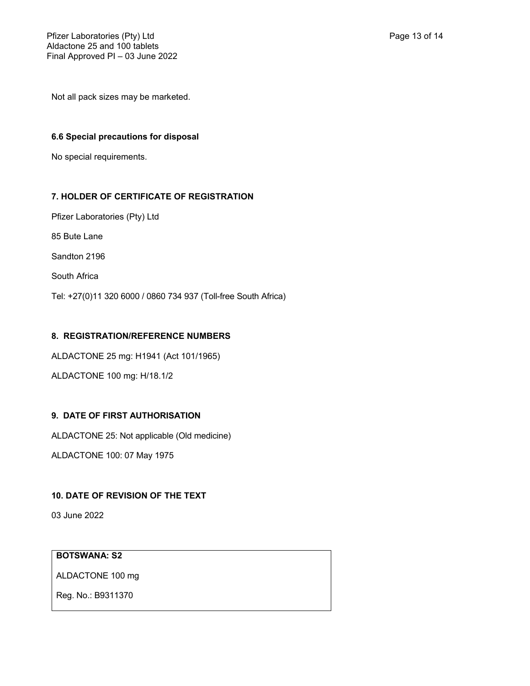Not all pack sizes may be marketed.

# **6.6 Special precautions for disposal**

No special requirements.

# **7. HOLDER OF CERTIFICATE OF REGISTRATION**

Pfizer Laboratories (Pty) Ltd

85 Bute Lane

Sandton 2196

South Africa

Tel: +27(0)11 320 6000 / 0860 734 937 (Toll-free South Africa)

# **8. REGISTRATION/REFERENCE NUMBERS**

ALDACTONE 25 mg: H1941 (Act 101/1965)

ALDACTONE 100 mg: H/18.1/2

# **9. DATE OF FIRST AUTHORISATION**

ALDACTONE 25: Not applicable (Old medicine)

ALDACTONE 100: 07 May 1975

# **10. DATE OF REVISION OF THE TEXT**

03 June 2022

# **BOTSWANA: S2**

ALDACTONE 100 mg

Reg. No.: B9311370